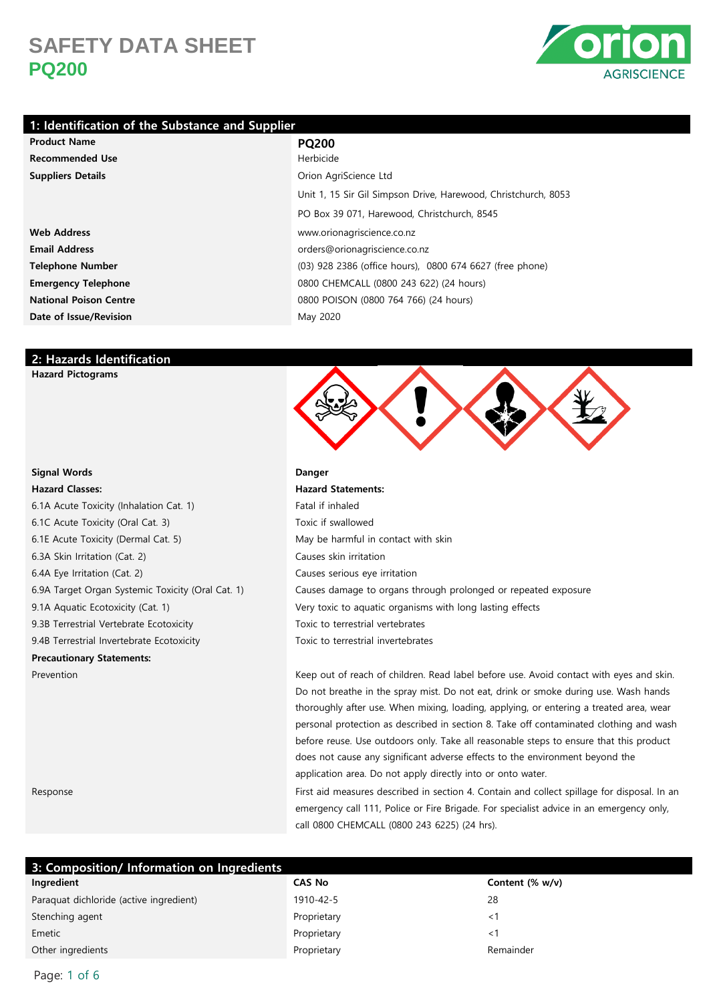

### **1: Identification of the Substance and Supplier**

### **Product Name PQ200 Recommended Use** Herbicides and the set of the set of the set of the set of the set of the set of the set of the set of the set of the set of the set of the set of the set of the set of the set of the set of the set of th **Suppliers Details** Orion AgriCate Ltd. AgriCate Ltd. AgriCate Ltd. AgriCate Ltd. AgriCate Ltd. AgriCate Ltd. AgriCate Ltd. AgriCate Ltd. AgriCate Ltd. AgriCate Ltd. AgriCate Ltd. AgriCate Ltd. AgriCate Ltd. AgriCate Ltd.

**Web Address** www.orionagriscience.co.nz **Email Address** orders or designed and control or designed and control or designed and control or designed and control or  $\alpha$ **Telephone Number** (03) 9286 (03) 9286 (03) 9286 (03) 9286 (03) 9386 (03) 9386 (0300 674 674 675 675 675 675 675 (03) 9386 (03) 9386 (03) 9386 (03) 9386 (03) 9386 (03) 9386 (03) 9386 (03) 9386 (03) 9386 (03) 9386 (03) 9386 **Emergency Telephone** 0800 CHEMCALL (0800 243 622) (243 622) (24 hours) (24 hours) (24 hours) (24 hours) (24 hours) (24 hours) (24 hours) (24 hours) (24 hours) (24 hours) (24 hours) (24 hours) (24 hours) (24 hours) (24 hou **National Poison Centre** 0800 POISON 0800 POISON 0800 POISON 0800 POISON 0800 POISON 0800 POISON 0800 POISON 0800 POISON 0800 POISON 0800 POISON 0800 POISON 0800 POISON 0800 POISON 0800 POISON 0800 POISON 0800 POISON 0800 **Date of Issue/Revision** May 2020 May 2020 May 2020 May 2020 May 2020 May 2020 May 2020 May 2020 May 2020 May 20

| Herbicide                                                      |
|----------------------------------------------------------------|
| Orion AgriScience Ltd                                          |
| Unit 1, 15 Sir Gil Simpson Drive, Harewood, Christchurch, 8053 |
| PO Box 39 071, Harewood, Christchurch, 8545                    |
| www.orionagriscience.co.nz                                     |
| orders@orionagriscience.co.nz                                  |
| (03) 928 2386 (office hours), 0800 674 6627 (free phone)       |
| 0800 CHEMCALL (0800 243 622) (24 hours)                        |
| 0800 POISON (0800 764 766) (24 hours)                          |
| May 2020                                                       |

### **2: Hazards Identification**

**Hazard Pictograms**

#### **Signal Words Danger**

### **Hazard Classes: Hazard Statements:**

6.1A Acute Toxicity (Inhalation Cat. 1) Fatal in the state of Fatal in the state of Fatal in the state of Fata 6.1C Acute Toxicity (Oral Cat. 3) Toxic if sware in the swallowed T 6.1E Acute Toxicity (Dermal Cat. 5) May be hardly in contact with skinning  $M$ 6.3A Skin Irritation (Cat. 2) Causes skin in the Cause skin in the Cause of Causes skin in the Cause of Cause 6.4A Eye Irritation (Cat. 2) Causes serious exercises serious exercises serious exercises of C 6.9A Target Organ Systemic Toxicity (Oral Cat. 1) C 9.1A Aquatic Ecotoxicity (Cat. 1) Very to a quatic very toxic to a quatic very very very with long lasting effects with long lasting effects with long lasting effects with long lasting with long lasting with long lasting w 9.3B Terrestrial Vertebrate Ecotoxicity Toxic to the Toxic to the Toxic to the Toxic to the Toxic to the Toxic to the Toxic to the Toxic to the Toxic to the Toxic to the Toxic to the Toxic to the Toxic to the Toxic to the 9.4B Terrestrial Invertebrate Ecotoxicity Toxic to the Toxic to the Toxic to the Toxic to the Toxic to the To **Precautionary Statements:**

| atal if inhaled                                               |
|---------------------------------------------------------------|
| oxic if swallowed                                             |
| lay be harmful in contact with skin                           |
| auses skin irritation                                         |
| auses serious eye irritation                                  |
| auses damage to organs through prolonged or repeated exposure |
| ery toxic to aquatic organisms with long lasting effects      |
| oxic to terrestrial vertebrates                               |
| oxic to terrestrial invertebrates                             |

Prevention **Keep out of reach of children. Read label before use.** Avoid contact with eyes and skin. Do not breathe in the spray mist. Do not eat, drink or smoke during use. Wash hands thoroughly after use. When mixing, loading, applying, or entering a treated area, wear personal protection as described in section 8. Take off contaminated clothing and wash before reuse. Use outdoors only. Take all reasonable steps to ensure that this product does not cause any significant adverse effects to the environment beyond the application area. Do not apply directly into or onto water.

Response First aid measures described in section 4. Contain and collect spillage for disposal. In an emergency call 111, Police or Fire Brigade. For specialist advice in an emergency only, call 0800 CHEMCALL (0800 243 6225) (24 hrs).

| 3: Composition/ Information on Ingredients |               |                    |  |
|--------------------------------------------|---------------|--------------------|--|
| Ingredient                                 | <b>CAS No</b> | Content $(\% w/v)$ |  |
| Paraquat dichloride (active ingredient)    | 1910-42-5     | 28                 |  |
| Stenching agent                            | Proprietary   |                    |  |
| Emetic                                     | Proprietary   | ا >                |  |
| Other ingredients                          | Proprietary   | Remainder          |  |

Page: 1 of 6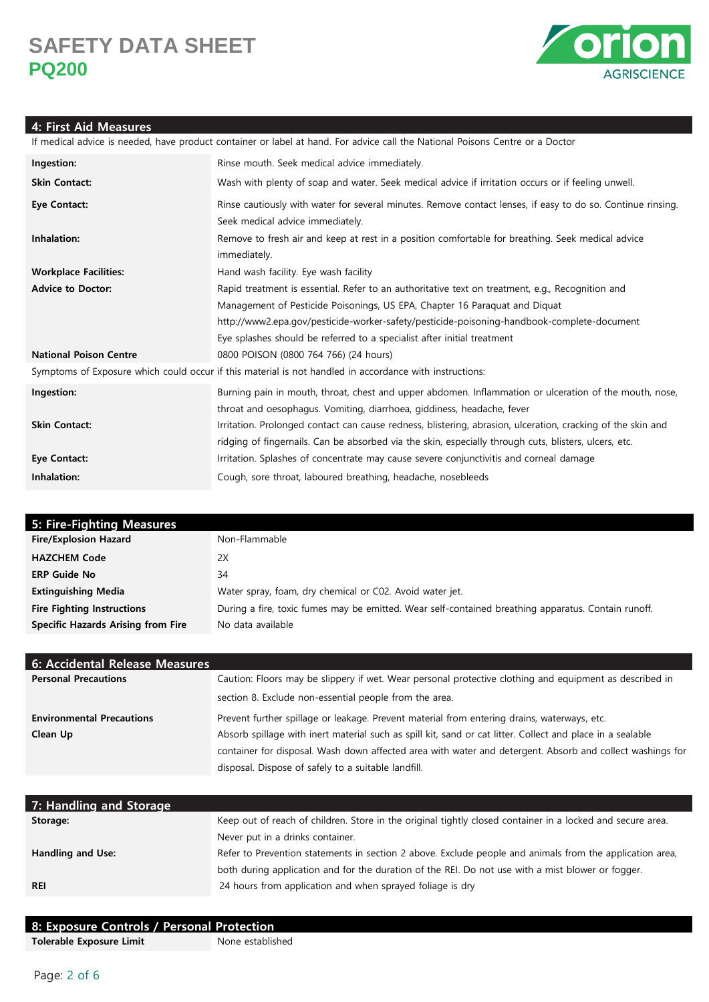

### **4: First Aid Measures**

If medical advice is needed, have product container or label at hand. For advice call the National Poisons Centre or a Doctor **Ingestion:** Rinse mouth. Seek medical advice immediately. **Skin Contact:** Wash with plenty of soap and water. Seek medical advice if irritation occurs or if feeling unwell. **Eye Contact:** Rinse cautiously with water for several minutes. Remove contact lenses, if easy to do so. Continue rinsing. Seek medical advice immediately. **Inhalation:** Remove to fresh air and keep at rest in a position comfortable for breathing. Seek medical advice immediately. **Workplace Facilities:** Hand wash facility. Eye wash facility Advice to Doctor: Rapid treatment is essential. Refer to an authoritative text on treatment, e.g., Recognition and Management of Pesticide Poisonings, US EPA, Chapter 16 Paraquat and Diquat http://www2.epa.gov/pesticide-worker-safety/pesticide-poisoning-handbook-complete-document Eye splashes should be referred to a specialist after initial treatment **National Poison Centre** 0800 POISON (0800 764 766) (24 hours) Symptoms of Exposure which could occur if this material is not handled in accordance with instructions: **Ingestion:** Burning pain in mouth, throat, chest and upper abdomen. Inflammation or ulceration of the mouth, nose, throat and oesophagus. Vomiting, diarrhoea, giddiness, headache, fever **Skin Contact:** Irritation. Prolonged contact can cause redness, blistering, abrasion, ulceration, cracking of the skin and ridging of fingernails. Can be absorbed via the skin, especially through cuts, blisters, ulcers, etc. **Eye Contact:** Irritation. Splashes of concentrate may cause severe conjunctivitis and corneal damage **Inhalation:** Cough, sore throat, laboured breathing, headache, nosebleeds

| 5: Fire-Fighting Measures                 |                                                                                                     |
|-------------------------------------------|-----------------------------------------------------------------------------------------------------|
| <b>Fire/Explosion Hazard</b>              | Non-Flammable                                                                                       |
| <b>HAZCHEM Code</b>                       | 2X                                                                                                  |
| <b>ERP Guide No</b>                       | 34                                                                                                  |
| <b>Extinguishing Media</b>                | Water spray, foam, dry chemical or C02. Avoid water jet.                                            |
| <b>Fire Fighting Instructions</b>         | During a fire, toxic fumes may be emitted. Wear self-contained breathing apparatus. Contain runoff. |
| <b>Specific Hazards Arising from Fire</b> | No data available                                                                                   |

| 6: Accidental Release Measures   |                                                                                                            |
|----------------------------------|------------------------------------------------------------------------------------------------------------|
| <b>Personal Precautions</b>      | Caution: Floors may be slippery if wet. Wear personal protective clothing and equipment as described in    |
|                                  | section 8. Exclude non-essential people from the area.                                                     |
| <b>Environmental Precautions</b> | Prevent further spillage or leakage. Prevent material from entering drains, waterways, etc.                |
| Clean Up                         | Absorb spillage with inert material such as spill kit, sand or cat litter. Collect and place in a sealable |
|                                  | container for disposal. Wash down affected area with water and detergent. Absorb and collect washings for  |
|                                  | disposal. Dispose of safely to a suitable landfill.                                                        |

| 7: Handling and Storage |                                                                                                            |
|-------------------------|------------------------------------------------------------------------------------------------------------|
| Storage:                | Keep out of reach of children. Store in the original tightly closed container in a locked and secure area. |
|                         | Never put in a drinks container.                                                                           |
| Handling and Use:       | Refer to Prevention statements in section 2 above. Exclude people and animals from the application area,   |
|                         | both during application and for the duration of the REI. Do not use with a mist blower or fogger.          |
| <b>REI</b>              | 24 hours from application and when sprayed foliage is dry                                                  |
|                         |                                                                                                            |

| 8: Exposure Controls / Personal Protection |                  |
|--------------------------------------------|------------------|
| Tolerable Exposure Limit                   | None established |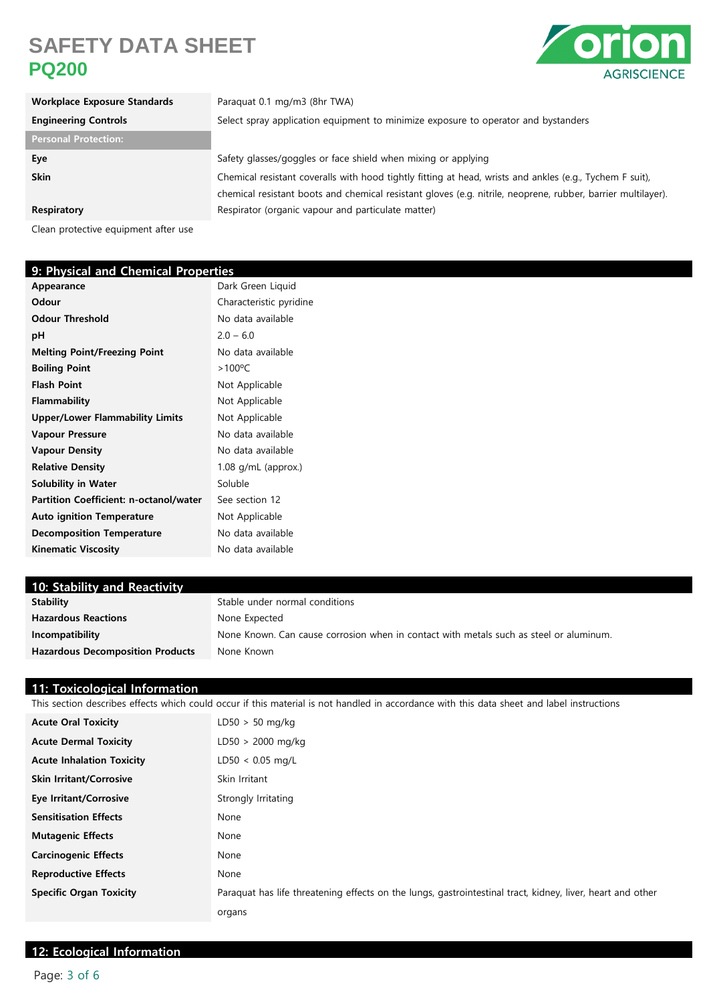

| <b>Workplace Exposure Standards</b> | Paraquat 0.1 mg/m3 (8hr TWA)                                                                                 |
|-------------------------------------|--------------------------------------------------------------------------------------------------------------|
| <b>Engineering Controls</b>         | Select spray application equipment to minimize exposure to operator and bystanders                           |
| <b>Personal Protection:</b>         |                                                                                                              |
| Eye                                 | Safety glasses/goggles or face shield when mixing or applying                                                |
| <b>Skin</b>                         | Chemical resistant coveralls with hood tightly fitting at head, wrists and ankles (e.g., Tychem F suit),     |
|                                     | chemical resistant boots and chemical resistant gloves (e.g. nitrile, neoprene, rubber, barrier multilayer). |
| Respiratory                         | Respirator (organic vapour and particulate matter)                                                           |

Clean protective equipment after use

| 9: Physical and Chemical Properties |  |  |
|-------------------------------------|--|--|
| Dark Green Liquid                   |  |  |
| Characteristic pyridine             |  |  |
| No data available                   |  |  |
| $2.0 - 6.0$                         |  |  |
| No data available                   |  |  |
| $>100^{\circ}$ C                    |  |  |
| Not Applicable                      |  |  |
| Not Applicable                      |  |  |
| Not Applicable                      |  |  |
| No data available                   |  |  |
| No data available                   |  |  |
| 1.08 g/mL (approx.)                 |  |  |
| Soluble                             |  |  |
| See section 12                      |  |  |
| Not Applicable                      |  |  |
| No data available                   |  |  |
| No data available                   |  |  |
|                                     |  |  |

| 10: Stability and Reactivity            |                                                                                        |
|-----------------------------------------|----------------------------------------------------------------------------------------|
| <b>Stability</b>                        | Stable under normal conditions                                                         |
| <b>Hazardous Reactions</b>              | None Expected                                                                          |
| Incompatibility                         | None Known. Can cause corrosion when in contact with metals such as steel or aluminum. |
| <b>Hazardous Decomposition Products</b> | None Known                                                                             |
|                                         |                                                                                        |

### **11: Toxicological Information**

This section describes effects which could occur if this material is not handled in accordance with this data sheet and label instructions

| <b>Acute Oral Toxicity</b>       | $LD50 > 50$ mg/kg                                                                                          |
|----------------------------------|------------------------------------------------------------------------------------------------------------|
| <b>Acute Dermal Toxicity</b>     | $LD50 > 2000$ mg/kg                                                                                        |
| <b>Acute Inhalation Toxicity</b> | $LD50 < 0.05$ mg/L                                                                                         |
| <b>Skin Irritant/Corrosive</b>   | Skin Irritant                                                                                              |
| <b>Eye Irritant/Corrosive</b>    | Strongly Irritating                                                                                        |
| <b>Sensitisation Effects</b>     | None                                                                                                       |
| <b>Mutagenic Effects</b>         | None                                                                                                       |
| <b>Carcinogenic Effects</b>      | None                                                                                                       |
| <b>Reproductive Effects</b>      | None                                                                                                       |
| <b>Specific Organ Toxicity</b>   | Paraquat has life threatening effects on the lungs, gastrointestinal tract, kidney, liver, heart and other |
|                                  | organs                                                                                                     |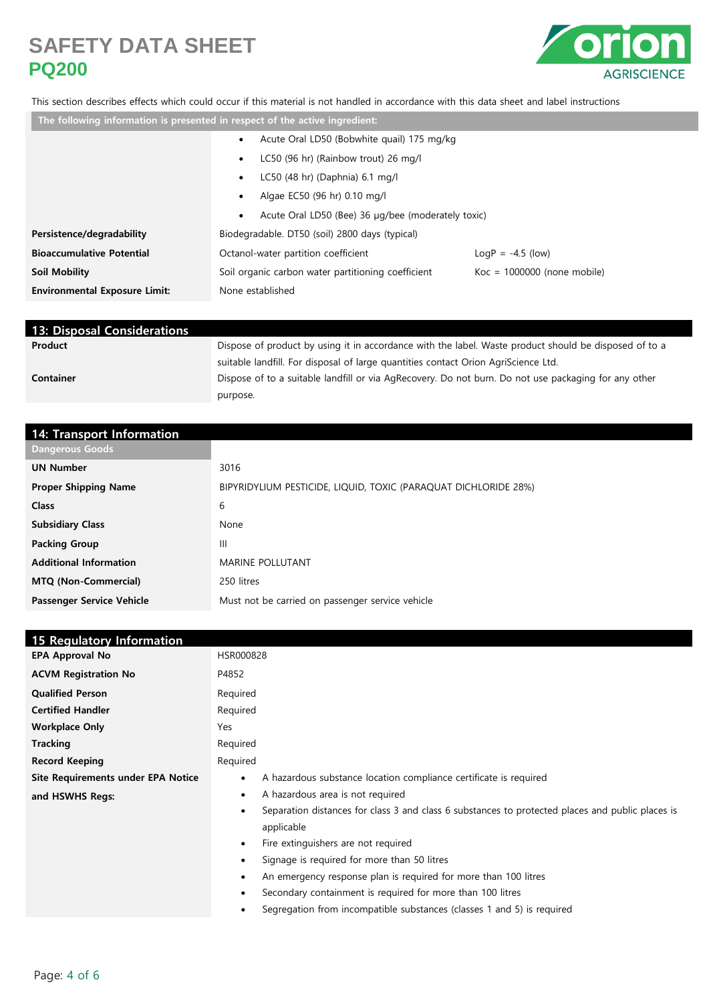

### This section describes effects which could occur if this material is not handled in accordance with this data sheet and label instructions

| The following information is presented in respect of the active ingredient: |                                                                 |                               |
|-----------------------------------------------------------------------------|-----------------------------------------------------------------|-------------------------------|
|                                                                             | Acute Oral LD50 (Bobwhite quail) 175 mg/kg<br>٠                 |                               |
|                                                                             | LC50 (96 hr) (Rainbow trout) 26 mg/l<br>$\bullet$               |                               |
|                                                                             | LC50 (48 hr) (Daphnia) 6.1 mg/l<br>٠                            |                               |
|                                                                             | Algae EC50 (96 hr) 0.10 mg/l<br>٠                               |                               |
|                                                                             | Acute Oral LD50 (Bee) 36 µg/bee (moderately toxic)<br>$\bullet$ |                               |
| Persistence/degradability                                                   | Biodegradable. DT50 (soil) 2800 days (typical)                  |                               |
| <b>Bioaccumulative Potential</b>                                            | Octanol-water partition coefficient                             | $LogP = -4.5$ (low)           |
| Soil Mobility                                                               | Soil organic carbon water partitioning coefficient              | $Koc = 1000000$ (none mobile) |
| <b>Environmental Exposure Limit:</b>                                        | None established                                                |                               |
|                                                                             |                                                                 |                               |

| <b>13: Disposal Considerations</b> |                                                                                                       |
|------------------------------------|-------------------------------------------------------------------------------------------------------|
| Product                            | Dispose of product by using it in accordance with the label. Waste product should be disposed of to a |
|                                    | suitable landfill. For disposal of large quantities contact Orion AgriScience Ltd.                    |
| <b>Container</b>                   | Dispose of to a suitable landfill or via AgRecovery. Do not burn. Do not use packaging for any other  |
|                                    | purpose.                                                                                              |

| 14: Transport Information     |                                                                 |
|-------------------------------|-----------------------------------------------------------------|
| <b>Dangerous Goods</b>        |                                                                 |
| <b>UN Number</b>              | 3016                                                            |
| <b>Proper Shipping Name</b>   | BIPYRIDYLIUM PESTICIDE, LIQUID, TOXIC (PARAQUAT DICHLORIDE 28%) |
| <b>Class</b>                  | 6                                                               |
| <b>Subsidiary Class</b>       | None                                                            |
| <b>Packing Group</b>          | Ш                                                               |
| <b>Additional Information</b> | <b>MARINE POLLUTANT</b>                                         |
| <b>MTQ (Non-Commercial)</b>   | 250 litres                                                      |
| Passenger Service Vehicle     | Must not be carried on passenger service vehicle                |

| <b>15 Regulatory Information</b>   |                                                                                                               |  |  |
|------------------------------------|---------------------------------------------------------------------------------------------------------------|--|--|
| <b>EPA Approval No</b>             | HSR000828                                                                                                     |  |  |
| <b>ACVM Registration No</b>        | P4852                                                                                                         |  |  |
| <b>Qualified Person</b>            | Required                                                                                                      |  |  |
| <b>Certified Handler</b>           | Required                                                                                                      |  |  |
| <b>Workplace Only</b>              | Yes                                                                                                           |  |  |
| <b>Tracking</b>                    | Required                                                                                                      |  |  |
| <b>Record Keeping</b>              | Required                                                                                                      |  |  |
| Site Requirements under EPA Notice | A hazardous substance location compliance certificate is required<br>$\bullet$                                |  |  |
| and HSWHS Regs:                    | A hazardous area is not required<br>$\bullet$                                                                 |  |  |
|                                    | Separation distances for class 3 and class 6 substances to protected places and public places is<br>$\bullet$ |  |  |
|                                    | applicable                                                                                                    |  |  |
|                                    | Fire extinguishers are not required<br>$\bullet$                                                              |  |  |
|                                    | Signage is required for more than 50 litres<br>$\bullet$                                                      |  |  |
|                                    | An emergency response plan is required for more than 100 litres<br>$\bullet$                                  |  |  |
|                                    | Secondary containment is required for more than 100 litres<br>$\bullet$                                       |  |  |
|                                    | Segregation from incompatible substances (classes 1 and 5) is required<br>$\bullet$                           |  |  |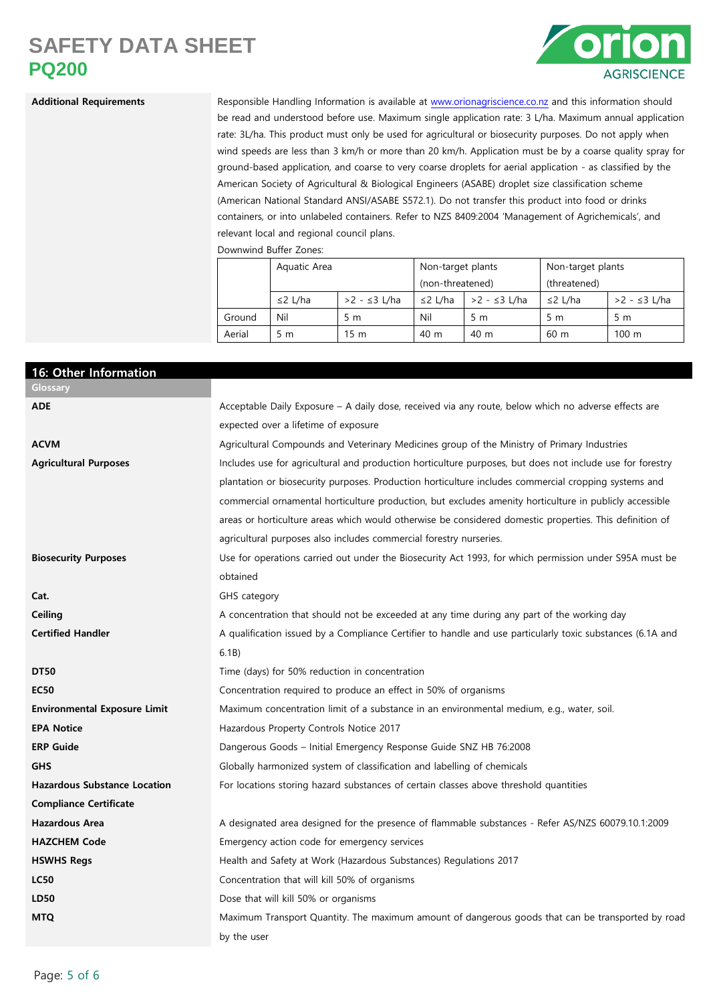

Additional Requirements Responsible Handling Information is available at [www.orionagriscience.co.nz](http://www.orionagriscience.co.nz/) and this information should be read and understood before use. Maximum single application rate: 3 L/ha. Maximum annual application rate: 3L/ha. This product must only be used for agricultural or biosecurity purposes. Do not apply when wind speeds are less than 3 km/h or more than 20 km/h. Application must be by a coarse quality spray for ground-based application, and coarse to very coarse droplets for aerial application - as classified by the American Society of Agricultural & Biological Engineers (ASABE) droplet size classification scheme (American National Standard ANSI/ASABE S572.1). Do not transfer this product into food or drinks containers, or into unlabeled containers. Refer to NZS 8409:2004 'Management of Agrichemicals', and relevant local and regional council plans.

Downwind Buffer Zones:

|        | Aquatic Area  |                 | Non-target plants |              | Non-target plants |                 |
|--------|---------------|-----------------|-------------------|--------------|-------------------|-----------------|
|        |               |                 | (non-threatened)  |              | (threatened)      |                 |
|        | $\leq$ 2 L/ha | >2 - ≤3 L/ha    | $\leq$ 2 L/ha     | >2 - ≤3 L/ha | $\leq$ 2 L/ha     | >2 - ≤3 L/ha    |
| Ground | Nil           | 5 <sub>m</sub>  | Nil               | 5 m          | 5 m               | 5 m             |
| Aerial | 5 m           | 15 <sub>m</sub> | 40 m              | 40 m         | 60 <sub>m</sub>   | $100 \text{ m}$ |

| 16: Other Information               |                                                                                                            |
|-------------------------------------|------------------------------------------------------------------------------------------------------------|
| Glossary                            |                                                                                                            |
| <b>ADE</b>                          | Acceptable Daily Exposure - A daily dose, received via any route, below which no adverse effects are       |
|                                     | expected over a lifetime of exposure                                                                       |
| <b>ACVM</b>                         | Agricultural Compounds and Veterinary Medicines group of the Ministry of Primary Industries                |
| <b>Agricultural Purposes</b>        | Includes use for agricultural and production horticulture purposes, but does not include use for forestry  |
|                                     | plantation or biosecurity purposes. Production horticulture includes commercial cropping systems and       |
|                                     | commercial ornamental horticulture production, but excludes amenity horticulture in publicly accessible    |
|                                     | areas or horticulture areas which would otherwise be considered domestic properties. This definition of    |
|                                     | agricultural purposes also includes commercial forestry nurseries.                                         |
| <b>Biosecurity Purposes</b>         | Use for operations carried out under the Biosecurity Act 1993, for which permission under S95A must be     |
|                                     | obtained                                                                                                   |
| Cat.                                | GHS category                                                                                               |
| Ceiling                             | A concentration that should not be exceeded at any time during any part of the working day                 |
| <b>Certified Handler</b>            | A qualification issued by a Compliance Certifier to handle and use particularly toxic substances (6.1A and |
|                                     | 6.1B)                                                                                                      |
| <b>DT50</b>                         | Time (days) for 50% reduction in concentration                                                             |
| <b>EC50</b>                         | Concentration required to produce an effect in 50% of organisms                                            |
| <b>Environmental Exposure Limit</b> | Maximum concentration limit of a substance in an environmental medium, e.g., water, soil.                  |
| <b>EPA Notice</b>                   | Hazardous Property Controls Notice 2017                                                                    |
| <b>ERP Guide</b>                    | Dangerous Goods - Initial Emergency Response Guide SNZ HB 76:2008                                          |
| <b>GHS</b>                          | Globally harmonized system of classification and labelling of chemicals                                    |
| <b>Hazardous Substance Location</b> | For locations storing hazard substances of certain classes above threshold quantities                      |
| <b>Compliance Certificate</b>       |                                                                                                            |
| <b>Hazardous Area</b>               | A designated area designed for the presence of flammable substances - Refer AS/NZS 60079.10.1:2009         |
| <b>HAZCHEM Code</b>                 | Emergency action code for emergency services                                                               |
| <b>HSWHS Regs</b>                   | Health and Safety at Work (Hazardous Substances) Regulations 2017                                          |
| <b>LC50</b>                         | Concentration that will kill 50% of organisms                                                              |
| LD50                                | Dose that will kill 50% or organisms                                                                       |
| <b>MTQ</b>                          | Maximum Transport Quantity. The maximum amount of dangerous goods that can be transported by road          |
|                                     | by the user                                                                                                |